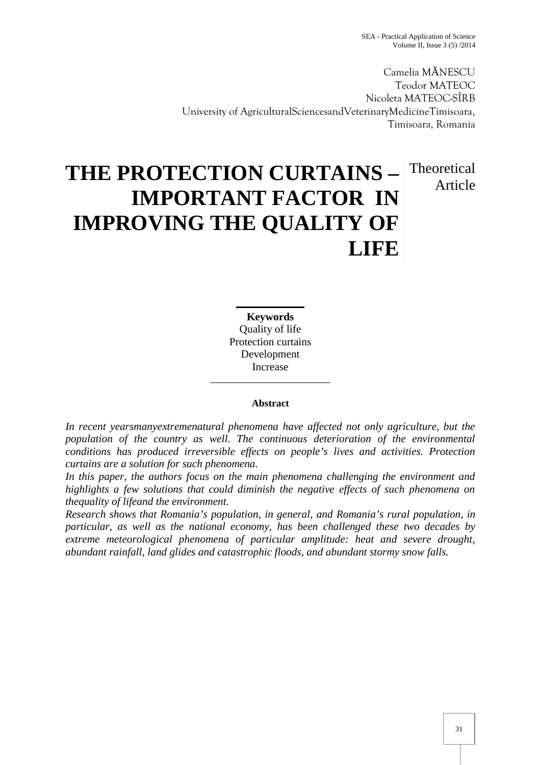SEA - Practical Application of Science Volume II, Issue 3 (5) /2014

Camelia M NESCU Teodor MATEOC Nicoleta MATEOC-SÎRB University of AgriculturalSciencesandVeterinaryMedicineTimisoara, Timisoara, Romania

# **Theoretical** Article

# **THE PROTECTION CURTAINS – IMPORTANT FACTOR IN IMPROVING THE QUALITY OF LIFE**

**Keywords** Quality of life Protection curtains Development Increase

### **Abstract**

*In recent yearsmanyextremenatural phenomena have affected not only agriculture, but the population of the country as well. The continuous deterioration of the environmental conditions has produced irreversible effects on people's lives and activities. Protection curtains are a solution for such phenomena.*

*In this paper, the authors focus on the main phenomena challenging the environment and highlights a few solutions that could diminish the negative effects of such phenomena on thequality of lifeand the environment.*

*Research shows that Romania's population, in general, and Romania's rural population, in particular, as well as the national economy, has been challenged these two decades by extreme meteorological phenomena of particular amplitude: heat and severe drought, abundant rainfall, land glides and catastrophic floods, and abundant stormy snow falls.*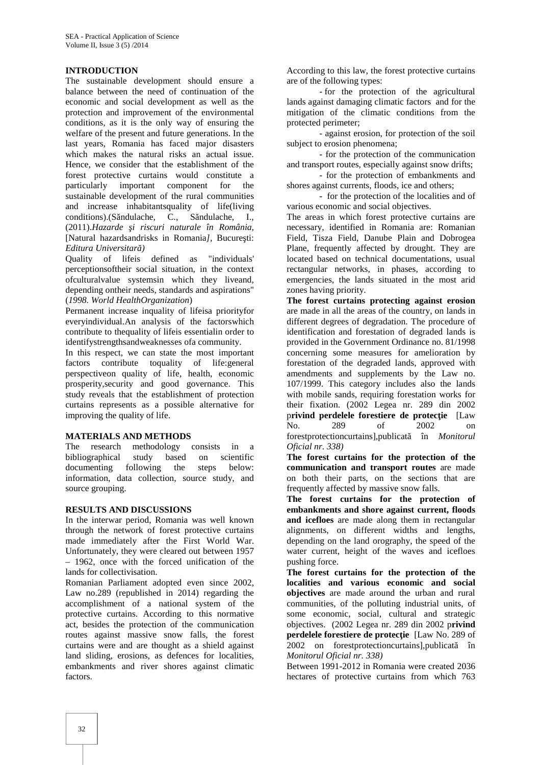#### **INTRODUCTION**

The sustainable development should ensure a balance between the need of continuation of the economic and social development as well as the protection and improvement of the environmental conditions, as it is the only way of ensuring the welfare of the present and future generations. In the last years, Romania has faced major disasters which makes the natural risks an actual issue. Hence, we consider that the establishment of the forest protective curtains would constitute a particularly important component for the sustainable development of the rural communities and increase inhabitantsquality of life(living conditions).(S ndulache, C., S ndulache, I., (2011).*Hazarde şi riscuri naturale în România,* [Natural hazardsandrisks in Romania*]*, Bucure ti: *Editura Universitară)*

Quality of lifeis defined as "individuals' perceptionsoftheir social situation, in the context ofculturalvalue systemsin which they liveand, depending ontheir needs, standards and aspirations" (*1998. World HealthOrganization*)

Permanent increase inquality of lifeisa priorityfor everyindividual.An analysis of the factorswhich contribute to thequality of lifeis essentialin order to identifystrengthsandweaknesses ofa community.

In this respect, we can state the most important factors contribute toquality of life:general perspectiveon quality of life, health, economic prosperity,security and good governance. This study reveals that the establishment of protection curtains represents as a possible alternative for improving the quality of life.

#### **MATERIALS AND METHODS**

The research methodology consists in a bibliographical study based on scientific documenting following the steps below: information, data collection, source study, and source grouping.

#### **RESULTS AND DISCUSSIONS**

In the interwar period, Romania was well known through the network of forest protective curtains made immediately after the First World War. Unfortunately, they were cleared out between 1957 – 1962, once with the forced unification of the lands for collectivisation.

Romanian Parliament adopted even since 2002, Law no.289 (republished in 2014) regarding the accomplishment of a national system of the protective curtains. According to this normative act, besides the protection of the communication routes against massive snow falls, the forest curtains were and are thought as a shield against land sliding, erosions, as defences for localities, embankments and river shores against climatic factors.

According to this law, the forest protective curtains are of the following types:

- for the protection of the agricultural lands against damaging climatic factors and for the mitigation of the climatic conditions from the protected perimeter;

- against erosion, for protection of the soil subject to erosion phenomena;

- for the protection of the communication and transport routes, especially against snow drifts;

- for the protection of embankments and shores against currents, floods, ice and others;

- for the protection of the localities and of various economic and social objectives.

The areas in which forest protective curtains are necessary, identified in Romania are: Romanian Field, Tisza Field, Danube Plain and Dobrogea Plane, frequently affected by drought. They are located based on technical documentations, usual rectangular networks, in phases, according to emergencies, the lands situated in the most arid zones having priority.

**The forest curtains protecting against erosion** are made in all the areas of the country, on lands in different degrees of degradation. The procedure of identification and forestation of degraded lands is provided in the Government Ordinance no. 81/1998 concerning some measures for amelioration by forestation of the degraded lands, approved with amendments and supplements by the Law no. 107/1999. This category includes also the lands with mobile sands, requiring forestation works for their fixation. (2002 Legea nr. 289 din 2002 privind perdelele forestiere de protec ie [Law No. 289 of 2002 on forestprotectioncurtains],publicat în *Monitorul Oficial nr. 338)*

**The forest curtains for the protection of the communication and transport routes** are made on both their parts, on the sections that are frequently affected by massive snow falls.

**The forest curtains for the protection of embankments and shore against current, floods and icefloes** are made along them in rectangular alignments, on different widths and lengths, depending on the land orography, the speed of the water current, height of the waves and icefloes pushing force.

**The forest curtains for the protection of the localities and various economic and social objectives** are made around the urban and rural communities, of the polluting industrial units, of some economic, social, cultural and strategic objectives. (2002 Legea nr. 289 din 2002 p**rivind perdelele forestiere de protec je** [Law No. 289 of] 2002 on forestprotectioncurtains],publicat *Monitorul Oficial nr. 338)*

Between 1991-2012 in Romania were created 2036 hectares of protective curtains from which 763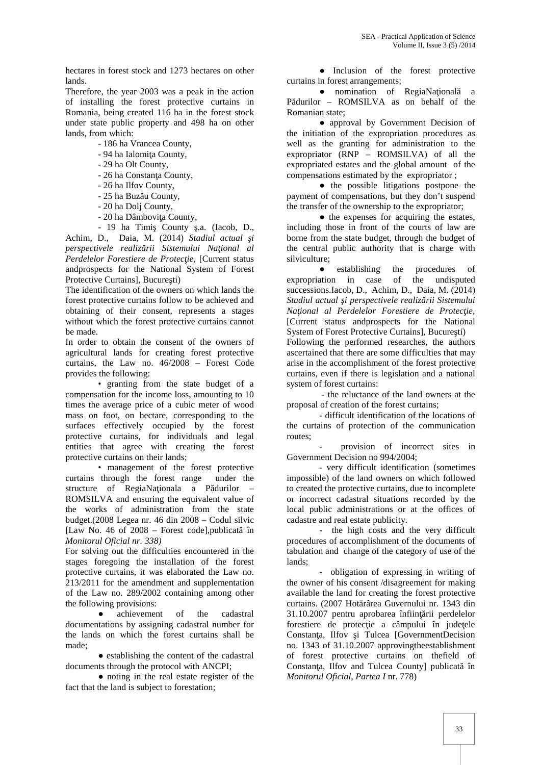hectares in forest stock and 1273 hectares on other lands.

Therefore, the year 2003 was a peak in the action of installing the forest protective curtains in Romania, being created 116 ha in the forest stock under state public property and 498 ha on other lands, from which:

- 186 ha Vrancea County,
- 94 ha Ialomi a County,
- 29 ha Olt County,
- 26 ha Constan a County,
- 26 ha Ilfov County,
- 25 ha Buz u County,
- 20 ha Dolj County,
- 20 ha Dâmbovi a County,
- 19 ha Timi County .a. (Iacob, D.,

Achim, D., Daia, M. (2014) *Stadiul actual şi perspectivele realizării Sistemului Naţional al* Perdelelor Forestiere de Protec ie, [Current status andprospects for the National System of Forest Protective Curtains], Bucure ti)

The identification of the owners on which lands the forest protective curtains follow to be achieved and obtaining of their consent, represents a stages without which the forest protective curtains cannot be made.

In order to obtain the consent of the owners of agricultural lands for creating forest protective curtains, the Law no. 46/2008 – Forest Code provides the following:

• granting from the state budget of a compensation for the income loss, amounting to 10 times the average price of a cubic meter of wood mass on foot, on hectare, corresponding to the surfaces effectively occupied by the forest protective curtains, for individuals and legal entities that agree with creating the forest protective curtains on their lands;

• management of the forest protective curtains through the forest range under the structure of RegiaNa ionala a P durilor – ROMSILVA and ensuring the equivalent value of the works of administration from the state budget.(2008 Legea nr. 46 din 2008 – Codul silvic [Law No. 46 of  $2008$  – Forest code], publicat în *Monitorul Oficial nr. 338)*

For solving out the difficulties encountered in the stages foregoing the installation of the forest protective curtains, it was elaborated the Law no. 213/2011 for the amendment and supplementation of the Law no. 289/2002 containing among other the following provisions:

achievement of the cadastral documentations by assigning cadastral number for the lands on which the forest curtains shall be made;

establishing the content of the cadastral documents through the protocol with ANCPI;

noting in the real estate register of the fact that the land is subject to forestation;

Inclusion of the forest protective curtains in forest arrangements;

nomination of RegiaNa ional a P durilor - ROMSILVA as on behalf of the Romanian state;

approval by Government Decision of the initiation of the expropriation procedures as well as the granting for administration to the expropriator (RNP – ROMSILVA) of all the expropriated estates and the global amount of the compensations estimated by the expropriator ;

the possible litigations postpone the payment of compensations, but they don't suspend the transfer of the ownership to the expropriator;

the expenses for acquiring the estates, including those in front of the courts of law are borne from the state budget, through the budget of the central public authority that is charge with silviculture;

establishing the procedures of expropriation in case of the undisputed successions.Iacob, D., Achim, D., Daia, M. (2014) Stadiul actual *i perspectivele realiz rii Sistemului Naţional al Perdelelor Forestiere de Protecţie,* [Current status andprospects for the National System of Forest Protective Curtains], Bucure ti) Following the performed researches, the authors ascertained that there are some difficulties that may arise in the accomplishment of the forest protective curtains, even if there is legislation and a national system of forest curtains:

- the reluctance of the land owners at the proposal of creation of the forest curtains;

- difficult identification of the locations of the curtains of protection of the communication routes;

provision of incorrect sites in Government Decision no 994/2004;

- very difficult identification (sometimes impossible) of the land owners on which followed to created the protective curtains, due to incomplete or incorrect cadastral situations recorded by the local public administrations or at the offices of cadastre and real estate publicity.

- the high costs and the very difficult procedures of accomplishment of the documents of tabulation and change of the category of use of the lands;

- obligation of expressing in writing of the owner of his consent /disagreement for making available the land for creating the forest protective curtains. (2007 Hot rârea Guvernului nr. 1343 din  $31.10.2007$  pentru aprobarea înfiin rii perdelelor forestiere de protec ie a câmpului în jude ele Constan a. Ilfov i Tulcea [GovernmentDecision] no. 1343 of 31.10.2007 approvingtheestablishment of forest protective curtains on thefield of Constan a, Ilfov and Tulcea County] publicat în *Monitorul Oficial*, *Partea I* nr. 778)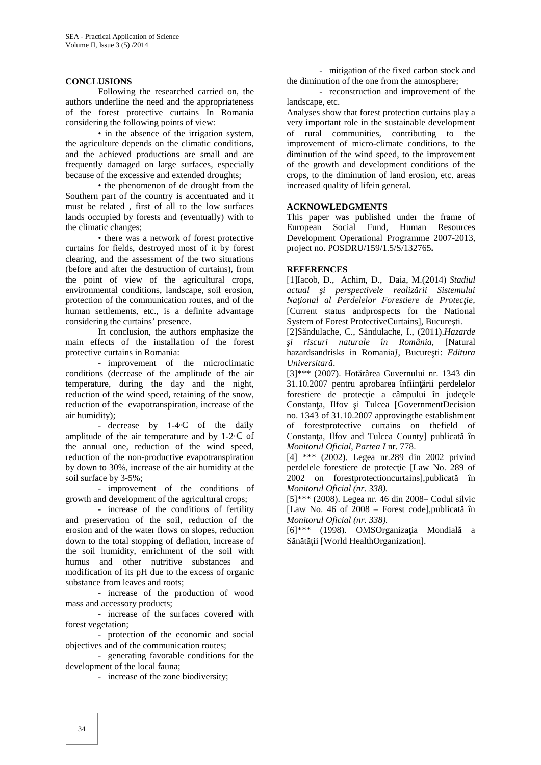#### **CONCLUSIONS**

Following the researched carried on, the authors underline the need and the appropriateness of the forest protective curtains In Romania considering the following points of view:

• in the absence of the irrigation system, the agriculture depends on the climatic conditions, and the achieved productions are small and are frequently damaged on large surfaces, especially because of the excessive and extended droughts;

• the phenomenon of de drought from the Southern part of the country is accentuated and it must be related , first of all to the low surfaces lands occupied by forests and (eventually) with to the climatic changes;

• there was a network of forest protective curtains for fields, destroyed most of it by forest clearing, and the assessment of the two situations (before and after the destruction of curtains), from the point of view of the agricultural crops, environmental conditions, landscape, soil erosion, protection of the communication routes, and of the human settlements, etc., is a definite advantage considering the curtains' presence.

In conclusion, the authors emphasize the main effects of the installation of the forest protective curtains in Romania:

- improvement of the microclimatic conditions (decrease of the amplitude of the air temperature, during the day and the night, reduction of the wind speed, retaining of the snow, reduction of the evapotranspiration, increase of the air humidity);

- decrease by 1-4 C of the daily amplitude of the air temperature and by  $1-2 \text{ C of }$ the annual one, reduction of the wind speed, reduction of the non-productive evapotranspiration by down to 30%, increase of the air humidity at the soil surface by 3-5%;

- improvement of the conditions of growth and development of the agricultural crops;

- increase of the conditions of fertility and preservation of the soil, reduction of the erosion and of the water flows on slopes, reduction down to the total stopping of deflation, increase of the soil humidity, enrichment of the soil with humus and other nutritive substances and modification of its pH due to the excess of organic substance from leaves and roots;

- increase of the production of wood mass and accessory products;

- increase of the surfaces covered with forest vegetation;

- protection of the economic and social objectives and of the communication routes;

- generating favorable conditions for the development of the local fauna;

- increase of the zone biodiversity;

- mitigation of the fixed carbon stock and the diminution of the one from the atmosphere;

**-** reconstruction and improvement of the landscape, etc.

Analyses show that forest protection curtains play a very important role in the sustainable development of rural communities, contributing to the improvement of micro-climate conditions, to the diminution of the wind speed, to the improvement of the growth and development conditions of the crops, to the diminution of land erosion, etc. areas increased quality of lifein general.

#### **ACKNOWLEDGMENTS**

This paper was published under the frame of European Social Fund, Human Resources Development Operational Programme 2007-2013, project no. POSDRU/159/1.5/S/132765**.**

#### **REFERENCES**

[1]Iacob, D., Achim, D., Daia, M.(2014) *Stadiul actual şi perspectivele realizării Sistemului Naţional al Perdelelor Forestiere de Protecţie,* [Current status andprospects for the National System of Forest ProtectiveCurtains], Bucure ti.

[2]Săndulache, C., Săndulache, I., (2011).*Hazarde şi riscuri naturale în România,* [Natural hazardsandrisks in Romania*l*, Bucure ti: *Editura* Universitar<sup>d</sup>.

 $[3]***$  (2007). Hot rârea Guvernului nr. 1343 din  $31.10.2007$  pentru aprobarea înfiin rii perdelelor forestiere de protec ie a câmpului în jude ele Constan a, Ilfov i Tulcea [GovernmentDecision] no. 1343 of 31.10.2007 approvingthe establishment of forestprotective curtains on thefield of Constan a, Ilfov and Tulcea County] publicat în *Monitorul Oficial*, *Partea I* nr. 778.

[4] \*\*\* (2002). Legea nr.289 din 2002 privind perdelele forestiere de protec ie [Law No. 289 of 2002 on forestprotectioncurtains], publicat în *Monitorul Oficial (nr. 338).*

[5]\*\*\* (2008). Legea nr. 46 din 2008– Codul silvic [Law No. 46 of  $2008$  – Forest code], publicat în *Monitorul Oficial (nr. 338).*

 $[6]^{***}$  (1998). OMSOrganiza ia Mondiala S n t ii [World HealthOrganization].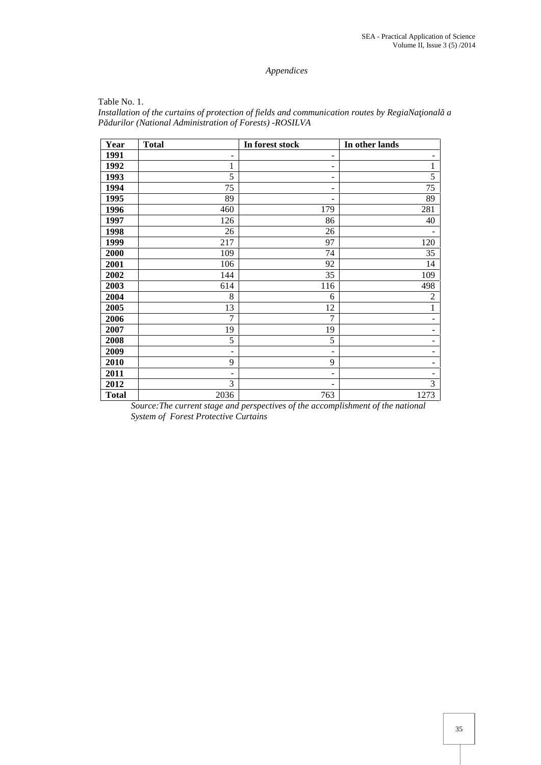## *Appendices*

| Table No. 1.                                                                                     |  |
|--------------------------------------------------------------------------------------------------|--|
| Installation of the curtains of protection of fields and communication routes by RegiaNa ional a |  |
| P durilor (National Administration of Forests) - ROSILVA                                         |  |

| Year         | <b>Total</b>             | In forest stock          | In other lands           |
|--------------|--------------------------|--------------------------|--------------------------|
| 1991         | $\overline{\phantom{a}}$ | -                        | -                        |
| 1992         | $\mathbf{1}$             | $\overline{\phantom{0}}$ | $\mathbf{1}$             |
| 1993         | 5                        | -                        | 5                        |
| 1994         | 75                       | -                        | 75                       |
| 1995         | 89                       |                          | 89                       |
| 1996         | 460                      | 179                      | 281                      |
| 1997         | 126                      | 86                       | 40                       |
| 1998         | 26                       | 26                       |                          |
| 1999         | 217                      | 97                       | 120                      |
| 2000         | 109                      | 74                       | 35                       |
| 2001         | 106                      | 92                       | 14                       |
| 2002         | 144                      | 35                       | 109                      |
| 2003         | 614                      | 116                      | 498                      |
| 2004         | 8                        | 6                        | $\mathfrak{2}$           |
| 2005         | 13                       | 12                       | $\mathbf{1}$             |
| 2006         | $\overline{7}$           | $\overline{7}$           | -                        |
| 2007         | 19                       | 19                       | $\qquad \qquad$          |
| 2008         | 5                        | 5                        | $\overline{\phantom{0}}$ |
| 2009         | $\overline{\phantom{a}}$ | ۰                        | $\qquad \qquad$          |
| 2010         | 9                        | 9                        | ۰                        |
| 2011         | $\overline{\phantom{a}}$ | $\overline{\phantom{0}}$ |                          |
| 2012         | 3                        |                          | 3                        |
| <b>Total</b> | 2036                     | 763                      | 1273                     |

*Source:The current stage and perspectives of the accomplishment of the national System of Forest Protective Curtains*